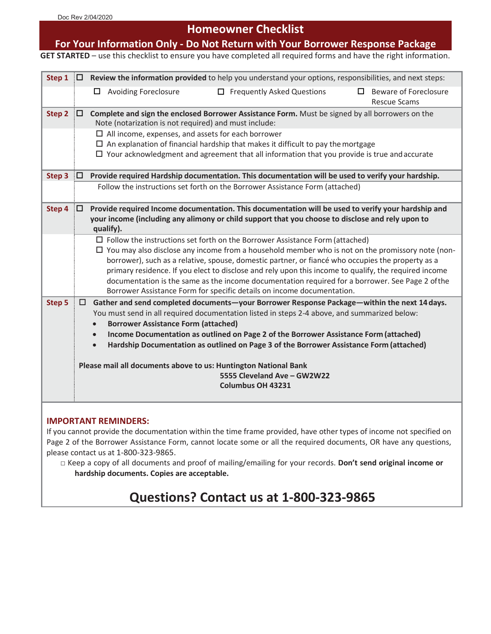# **Homeowner Checklist**

# **For Your Information Only - Do Not Return with Your Borrower Response Package**

**GET STARTED** – use this checklist to ensure you have completed all required forms and have the right information.

| Step 1        | 10 I | Review the information provided to help you understand your options, responsibilities, and next steps:                                                                                                       |
|---------------|------|--------------------------------------------------------------------------------------------------------------------------------------------------------------------------------------------------------------|
|               |      | $\Box$ Frequently Asked Questions<br>Beware of Foreclosure<br>$\Box$ Avoiding Foreclosure<br>П<br><b>Rescue Scams</b>                                                                                        |
| Step 2        | 10 I | Complete and sign the enclosed Borrower Assistance Form. Must be signed by all borrowers on the<br>Note (notarization is not required) and must include:                                                     |
|               |      | $\Box$ All income, expenses, and assets for each borrower<br>$\Box$ An explanation of financial hardship that makes it difficult to pay the mortgage                                                         |
|               |      | $\Box$ Your acknowledgment and agreement that all information that you provide is true and accurate                                                                                                          |
| Step 3        | 10.  | Provide required Hardship documentation. This documentation will be used to verify your hardship.                                                                                                            |
|               |      | Follow the instructions set forth on the Borrower Assistance Form (attached)                                                                                                                                 |
| Step 4        | 10.  | Provide required Income documentation. This documentation will be used to verify your hardship and                                                                                                           |
|               |      | your income (including any alimony or child support that you choose to disclose and rely upon to<br>qualify).                                                                                                |
|               |      | $\Box$ Follow the instructions set forth on the Borrower Assistance Form (attached)                                                                                                                          |
|               |      | $\Box$ You may also disclose any income from a household member who is not on the promissory note (non-<br>borrower), such as a relative, spouse, domestic partner, or fiancé who occupies the property as a |
|               |      | primary residence. If you elect to disclose and rely upon this income to qualify, the required income                                                                                                        |
|               |      | documentation is the same as the income documentation required for a borrower. See Page 2 ofthe                                                                                                              |
|               |      | Borrower Assistance Form for specific details on income documentation.                                                                                                                                       |
| <b>Step 5</b> | □    | Gather and send completed documents-your Borrower Response Package-within the next 14 days.<br>You must send in all required documentation listed in steps 2-4 above, and summarized below:                  |
|               |      | <b>Borrower Assistance Form (attached)</b><br>$\bullet$                                                                                                                                                      |
|               |      | Income Documentation as outlined on Page 2 of the Borrower Assistance Form (attached)<br>$\bullet$                                                                                                           |
|               |      | Hardship Documentation as outlined on Page 3 of the Borrower Assistance Form (attached)<br>$\bullet$                                                                                                         |
|               |      | Please mail all documents above to us: Huntington National Bank                                                                                                                                              |
|               |      | 5555 Cleveland Ave - GW2W22                                                                                                                                                                                  |
|               |      | <b>Columbus OH 43231</b>                                                                                                                                                                                     |
|               |      |                                                                                                                                                                                                              |

#### **IMPORTANT REMINDERS:**

If you cannot provide the documentation within the time frame provided, have other types of income not specified on Page 2 of the Borrower Assistance Form, cannot locate some or all the required documents, OR have any questions, please contact us at 1-800-323-9865.

□ Keep a copy of all documents and proof of mailing/emailing for your records. **Don't send original income or hardship documents. Copies are acceptable.**

# **Questions? Contact us at 1-800-323-9865**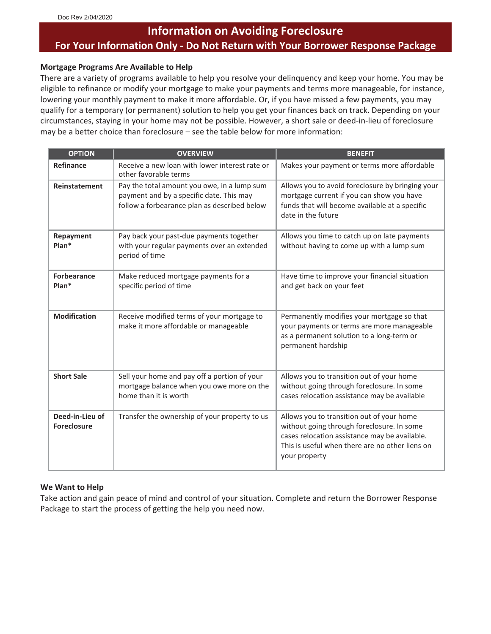# **Information on Avoiding Foreclosure For Your Information Only - Do Not Return with Your Borrower Response Package**

#### **Mortgage Programs Are Available to Help**

There are a variety of programs available to help you resolve your delinquency and keep your home. You may be eligible to refinance or modify your mortgage to make your payments and terms more manageable, for instance, lowering your monthly payment to make it more affordable. Or, if you have missed a few payments, you may qualify for a temporary (or permanent) solution to help you get your finances back on track. Depending on your circumstances, staying in your home may not be possible. However, a short sale or deed-in-lieu of foreclosure may be a better choice than foreclosure – see the table below for more information:

| <b>OPTION</b>                         | <b>OVERVIEW</b>                                                                                                                         | <b>BENEFIT</b>                                                                                                                                                                                               |
|---------------------------------------|-----------------------------------------------------------------------------------------------------------------------------------------|--------------------------------------------------------------------------------------------------------------------------------------------------------------------------------------------------------------|
| Refinance                             | Receive a new loan with lower interest rate or<br>other favorable terms                                                                 | Makes your payment or terms more affordable                                                                                                                                                                  |
| Reinstatement                         | Pay the total amount you owe, in a lump sum<br>payment and by a specific date. This may<br>follow a forbearance plan as described below | Allows you to avoid foreclosure by bringing your<br>mortgage current if you can show you have<br>funds that will become available at a specific<br>date in the future                                        |
| Repayment<br>Plan*                    | Pay back your past-due payments together<br>with your regular payments over an extended<br>period of time                               | Allows you time to catch up on late payments<br>without having to come up with a lump sum                                                                                                                    |
| <b>Forbearance</b><br>Plan*           | Make reduced mortgage payments for a<br>specific period of time                                                                         | Have time to improve your financial situation<br>and get back on your feet                                                                                                                                   |
| <b>Modification</b>                   | Receive modified terms of your mortgage to<br>make it more affordable or manageable                                                     | Permanently modifies your mortgage so that<br>your payments or terms are more manageable<br>as a permanent solution to a long-term or<br>permanent hardship                                                  |
| <b>Short Sale</b>                     | Sell your home and pay off a portion of your<br>mortgage balance when you owe more on the<br>home than it is worth                      | Allows you to transition out of your home<br>without going through foreclosure. In some<br>cases relocation assistance may be available                                                                      |
| Deed-in-Lieu of<br><b>Foreclosure</b> | Transfer the ownership of your property to us                                                                                           | Allows you to transition out of your home<br>without going through foreclosure. In some<br>cases relocation assistance may be available.<br>This is useful when there are no other liens on<br>your property |

#### **We Want to Help**

Take action and gain peace of mind and control of your situation. Complete and return the Borrower Response Package to start the process of getting the help you need now.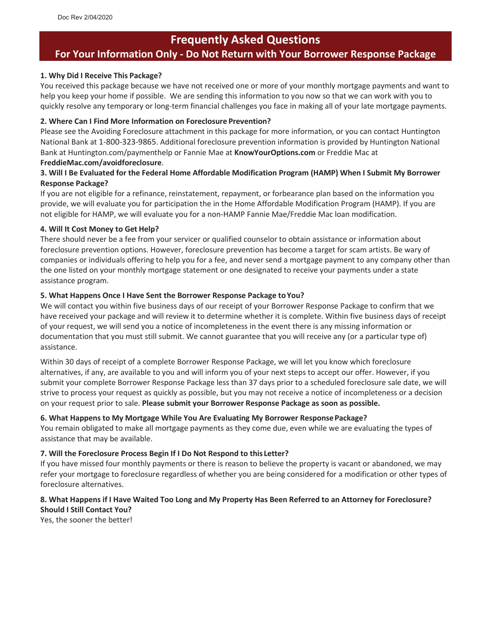## **Frequently Asked Questions**

## **For Your Information Only - Do Not Return with Your Borrower Response Package**

#### **1. Why Did I Receive This Package?**

You received this package because we have not received one or more of your monthly mortgage payments and want to help you keep your home if possible. We are sending this information to you now so that we can work with you to quickly resolve any temporary or long-term financial challenges you face in making all of your late mortgage payments.

#### **2. Where Can I Find More Information on Foreclosure Prevention?**

Please see the Avoiding Foreclosure attachment in this package for more information, or you can contact Huntington National Bank at 1-800-323-9865. Additional foreclosure prevention information is provided by Huntington National Bank at Huntington.com/paymenthelp or Fannie Mae at **KnowYourOptions.com** or Freddie Mac at

#### **FreddieMac.com/avoidforeclosure**.

#### **3. Will I Be Evaluated for the Federal Home Affordable Modification Program (HAMP) When I Submit My Borrower Response Package?**

If you are not eligible for a refinance, reinstatement, repayment, or forbearance plan based on the information you provide, we will evaluate you for participation the in the Home Affordable Modification Program (HAMP). If you are not eligible for HAMP, we will evaluate you for a non-HAMP Fannie Mae/Freddie Mac loan modification.

#### **4. Will It Cost Money to Get Help?**

There should never be a fee from your servicer or qualified counselor to obtain assistance or information about foreclosure prevention options. However, foreclosure prevention has become a target for scam artists. Be wary of companies or individuals offering to help you for a fee, and never send a mortgage payment to any company other than the one listed on your monthly mortgage statement or one designated to receive your payments under a state assistance program.

#### **5. What Happens Once I Have Sent the Borrower Response Package toYou?**

We will contact you within five business days of our receipt of your Borrower Response Package to confirm that we have received your package and will review it to determine whether it is complete. Within five business days of receipt of your request, we will send you a notice of incompleteness in the event there is any missing information or documentation that you must still submit. We cannot guarantee that you will receive any (or a particular type of) assistance.

Within 30 days of receipt of a complete Borrower Response Package, we will let you know which foreclosure alternatives, if any, are available to you and will inform you of your next steps to accept our offer. However, if you submit your complete Borrower Response Package less than 37 days prior to a scheduled foreclosure sale date, we will strive to process your request as quickly as possible, but you may not receive a notice of incompleteness or a decision on your request prior to sale. **Please submit your Borrower Response Package as soon as possible.**

#### **6. What Happens to My Mortgage While You Are Evaluating My Borrower ResponsePackage?**

You remain obligated to make all mortgage payments as they come due, even while we are evaluating the types of assistance that may be available.

#### **7. Will the Foreclosure Process Begin If I Do Not Respond to this Letter?**

If you have missed four monthly payments or there is reason to believe the property is vacant or abandoned, we may refer your mortgage to foreclosure regardless of whether you are being considered for a modification or other types of foreclosure alternatives.

#### **8. What Happens if I Have Waited Too Long and My Property Has Been Referred to an Attorney for Foreclosure? Should I Still Contact You?**

Yes, the sooner the better!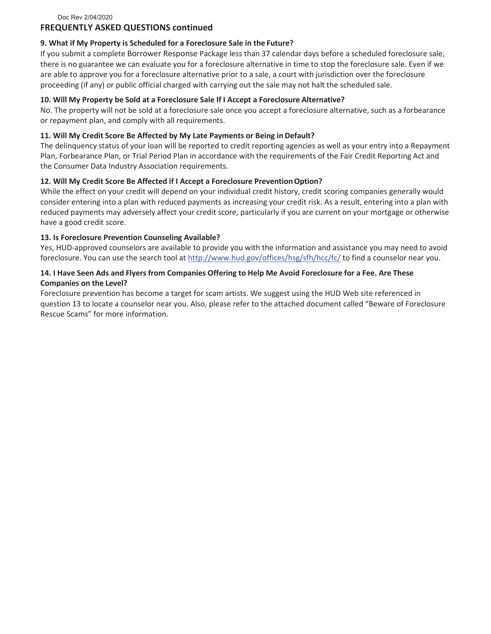Doc Rev 2/04/2020

#### **FREQUENTLY ASKED QUESTIONS continued**

#### **9. What if My Property is Scheduled for a Foreclosure Sale in the Future?**

If you submit a complete Borrower Response Package less than 37 calendar days before a scheduled foreclosure sale, there is no guarantee we can evaluate you for a foreclosure alternative in time to stop the foreclosure sale. Even if we are able to approve you for a foreclosure alternative prior to a sale, a court with jurisdiction over the foreclosure proceeding (if any) or public official charged with carrying out the sale may not halt the scheduled sale.

#### **10. Will My Property be Sold at a Foreclosure Sale If I Accept a Foreclosure Alternative?**

No. The property will not be sold at a foreclosure sale once you accept a foreclosure alternative, such as a forbearance or repayment plan, and comply with all requirements.

#### **11. Will My Credit Score Be Affected by My Late Payments or Being in Default?**

The delinquency status of your loan will be reported to credit reporting agencies as well as your entry into a Repayment Plan, Forbearance Plan, or Trial Period Plan in accordance with the requirements of the Fair Credit Reporting Act and the Consumer Data Industry Association requirements.

#### **12. Will My Credit Score Be Affected if I Accept a Foreclosure PreventionOption?**

While the effect on your credit will depend on your individual credit history, credit scoring companies generally would consider entering into a plan with reduced payments as increasing your credit risk. As a result, entering into a plan with reduced payments may adversely affect your credit score, particularly if you are current on your mortgage or otherwise have a good credit score.

#### **13. Is Foreclosure Prevention Counseling Available?**

Yes, HUD-approved counselors are available to provide you with the information and assistance you may need to avoid foreclosure. You can use the search tool at <http://www.hud.gov/offices/hsg/sfh/hcc/fc/> to find a counselor near you.

#### **14. I Have Seen Ads and Flyers from Companies Offering to Help Me Avoid Foreclosure for a Fee. Are These Companies on the Level?**

Foreclosure prevention has become a target for scam artists. We suggest using the HUD Web site referenced in question 13 to locate a counselor near you. Also, please refer to the attached document called "Beware of Foreclosure Rescue Scams" for more information.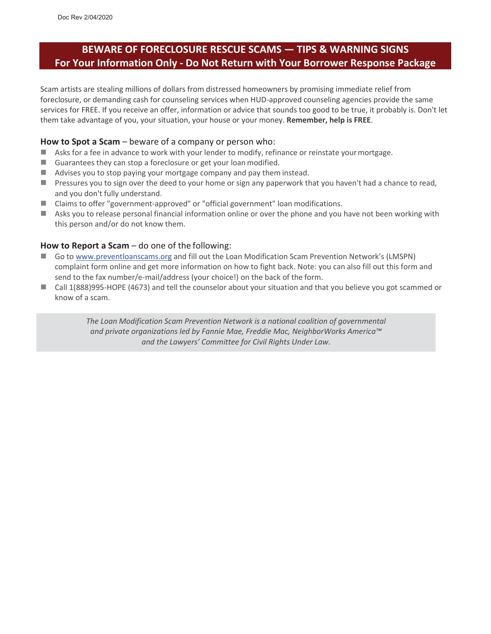## **BEWARE OF FORECLOSURE RESCUE SCAMS — TIPS & WARNING SIGNS For Your Information Only - Do Not Return with Your Borrower Response Package**

Scam artists are stealing millions of dollars from distressed homeowners by promising immediate relief from foreclosure, or demanding cash for counseling services when HUD-approved counseling agencies provide the same services for FREE. If you receive an offer, information or advice that sounds too good to be true, it probably is. Don't let them take advantage of you, your situation, your house or your money. **Remember, help is FREE**.

#### **How to Spot a Scam** – beware of a company or person who:

- Asks for a fee in advance to work with your lender to modify, refinance or reinstate your mortgage.
- Guarantees they can stop a foreclosure or get your loan modified.
- Advises you to stop paying your mortgage company and pay them instead.
- $\blacksquare$  Pressures you to sign over the deed to your home or sign any paperwork that you haven't had a chance to read, and you don't fully understand.
- Claims to offer "government-approved" or "official government" loan modifications.
- Asks you to release personal financial information online or over the phone and you have not been working with this person and/or do not know them.

#### **How to Report a Scam** – do one of the following:

- Go to [www.preventloanscams.org](http://www.preventloanscams.org/) and fill out the Loan Modification Scam Prevention Network's (LMSPN) complaint form online and get more information on how to fight back. Note: you can also fill out this form and send to the fax number/e-mail/address (your choice!) on the back of the form.
- Call 1(888)995-HOPE (4673) and tell the counselor about your situation and that you believe you got scammed or know of a scam.

*The Loan Modification Scam Prevention Network is a national coalition of governmental and private organizations led by Fannie Mae, Freddie Mac, NeighborWorks America™ and the Lawyers' Committee for Civil Rights Under Law.*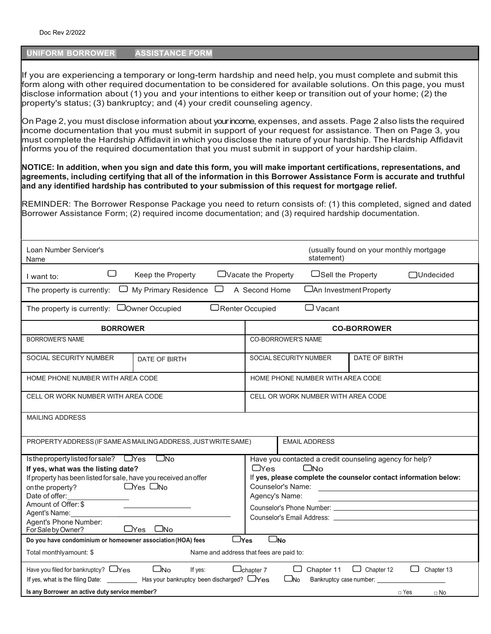#### **UNIFORM BORROWER ASSISTANCE FORM**

If you are experiencing a temporary or long-term hardship and need help, you must complete and submit this form along with other required documentation to be considered for available solutions. On this page, you must disclose information about (1) you and your intentions to either keep or transition out of your home; (2) the property's status; (3) bankruptcy; and (4) your credit counseling agency.

OnPage 2, you must disclose information about your income, expenses, and assets. Page 2 also lists the required income documentation that you must submit in support of your request for assistance. Then on Page 3, you must complete the Hardship Affidavit in which you disclose the nature of your hardship. The Hardship Affidavit informs you of the required documentation that you must submit in support of your hardship claim.

**NOTICE: In addition, when you sign and date this form, you will make important certifications, representations, and agreements, including certifying that all of the information in this Borrower Assistance Form is accurate and truthful and any identified hardship has contributed to your submission of this request for mortgage relief.**

REMINDER: The Borrower Response Package you need to return consists of: (1) this completed, signed and dated Borrower Assistance Form; (2) required income documentation; and (3) required hardship documentation.

| Loan Number Servicer's<br>Name                                                                                                                                                                                                                                                                                                                                                      | (usually found on your monthly mortgage<br>statement)                                                                                                                                                                                       |  |  |  |  |  |
|-------------------------------------------------------------------------------------------------------------------------------------------------------------------------------------------------------------------------------------------------------------------------------------------------------------------------------------------------------------------------------------|---------------------------------------------------------------------------------------------------------------------------------------------------------------------------------------------------------------------------------------------|--|--|--|--|--|
| U<br>Keep the Property<br>I want to:                                                                                                                                                                                                                                                                                                                                                | $\Box$ Vacate the Property<br>$\Box$ Sell the Property<br>□Undecided                                                                                                                                                                        |  |  |  |  |  |
| My Primary Residence<br>□<br>The property is currently:<br>لــا                                                                                                                                                                                                                                                                                                                     | A Second Home<br>□ An Investment Property                                                                                                                                                                                                   |  |  |  |  |  |
| The property is currently: $\Box$ Owner Occupied                                                                                                                                                                                                                                                                                                                                    | $\Box$ Vacant<br>$\Box$ Renter Occupied                                                                                                                                                                                                     |  |  |  |  |  |
| <b>BORROWER</b>                                                                                                                                                                                                                                                                                                                                                                     | <b>CO-BORROWER</b>                                                                                                                                                                                                                          |  |  |  |  |  |
| <b>BORROWER'S NAME</b>                                                                                                                                                                                                                                                                                                                                                              | <b>CO-BORROWER'S NAME</b>                                                                                                                                                                                                                   |  |  |  |  |  |
| <b>SOCIAL SECURITY NUMBER</b><br>DATE OF BIRTH                                                                                                                                                                                                                                                                                                                                      | DATE OF BIRTH<br>SOCIAL SECURITY NUMBER                                                                                                                                                                                                     |  |  |  |  |  |
| HOME PHONE NUMBER WITH AREA CODE                                                                                                                                                                                                                                                                                                                                                    | HOME PHONE NUMBER WITH AREA CODE                                                                                                                                                                                                            |  |  |  |  |  |
| CELL OR WORK NUMBER WITH AREA CODE                                                                                                                                                                                                                                                                                                                                                  | CELL OR WORK NUMBER WITH AREA CODE                                                                                                                                                                                                          |  |  |  |  |  |
| <b>MAILING ADDRESS</b>                                                                                                                                                                                                                                                                                                                                                              |                                                                                                                                                                                                                                             |  |  |  |  |  |
| PROPERTY ADDRESS (IF SAME AS MAILING ADDRESS, JUST WRITE SAME)                                                                                                                                                                                                                                                                                                                      | <b>EMAIL ADDRESS</b>                                                                                                                                                                                                                        |  |  |  |  |  |
| Is the property listed for sale? DYes DNo<br>If yes, what was the listing date?<br>If property has been listed for sale, have you received an offer<br>$\Box$ Yes $\Box$ No<br>on the property?<br>Date of offer:<br>Amount of Offer: \$<br>Agent's Name:<br>Agent's Phone Number:<br>$\sqcup$ Yes<br>For Sale by Owner?<br>_No                                                     | Have you contacted a credit counseling agency for help?<br>$\Box$ Yes<br>$\square$ No<br>If yes, please complete the counselor contact information below:<br>Counselor's Name:<br>Agency's Name:<br>Counselor's Phone Number: New York 1997 |  |  |  |  |  |
| $\Box$ No<br>$\Box$ Yes<br>Do you have condominium or homeowner association (HOA) fees                                                                                                                                                                                                                                                                                              |                                                                                                                                                                                                                                             |  |  |  |  |  |
| Total monthlyamount: \$<br>Name and address that fees are paid to:                                                                                                                                                                                                                                                                                                                  |                                                                                                                                                                                                                                             |  |  |  |  |  |
| Have you filed for bankruptcy? $\Box$ Yes<br>$\square_{\sf No}$<br>$\Box$ Chapter 12<br>□<br>Chapter 13<br>$\Box$ chapter 7<br>Chapter 11<br>If yes:<br>If yes, what is the filing Date: $\frac{1}{1}$ Has your bankruptcy been discharged? $\Box$ Yes<br>$\Box$ No<br>Bankruptcy case number: _______<br>Is any Borrower an active duty service member?<br>$\Box$ Yes<br>$\Box$ No |                                                                                                                                                                                                                                             |  |  |  |  |  |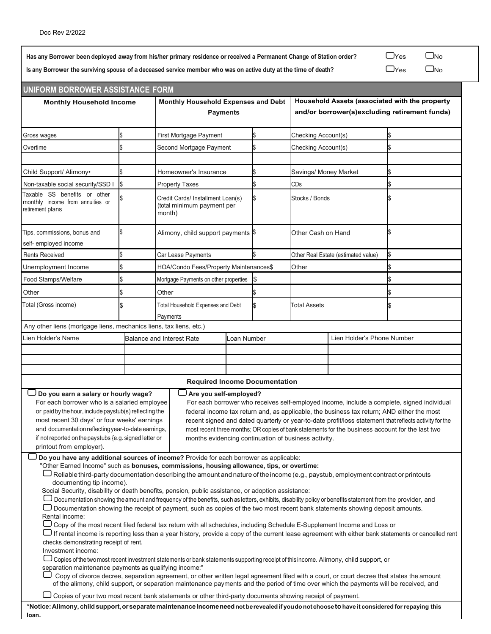Has any Borrower been deployed away from his/her primary residence or received a Permanent Change of Station order?  $\Box$  Yes  $\Box$  No

Is any Borrower the surviving spouse of a deceased service member who was on active duty at the time of death?  $\Box$  Yes  $\Box$  No

| UNIFORM BORROWER ASSISTANCE FORM                                                                                                                                                                                                                                                          |     |                                  |                                                                                 |            |                                                                                                 |                       |                                     |                                                                                                        |
|-------------------------------------------------------------------------------------------------------------------------------------------------------------------------------------------------------------------------------------------------------------------------------------------|-----|----------------------------------|---------------------------------------------------------------------------------|------------|-------------------------------------------------------------------------------------------------|-----------------------|-------------------------------------|--------------------------------------------------------------------------------------------------------|
| <b>Monthly Household Income</b>                                                                                                                                                                                                                                                           |     |                                  | Monthly Household Expenses and Debt<br><b>Payments</b>                          |            | Household Assets (associated with the property<br>and/or borrower(s)excluding retirement funds) |                       |                                     |                                                                                                        |
| Gross wages                                                                                                                                                                                                                                                                               |     |                                  | First Mortgage Payment<br>\$                                                    |            |                                                                                                 | Checking Account(s)   |                                     |                                                                                                        |
| Overtime                                                                                                                                                                                                                                                                                  |     |                                  | Second Mortgage Payment                                                         |            |                                                                                                 | Checking Account(s)   |                                     |                                                                                                        |
|                                                                                                                                                                                                                                                                                           |     |                                  |                                                                                 |            |                                                                                                 |                       |                                     |                                                                                                        |
| Child Support/ Alimony•                                                                                                                                                                                                                                                                   |     |                                  | Homeowner's Insurance                                                           |            |                                                                                                 | Savings/ Money Market |                                     |                                                                                                        |
| Non-taxable social security/SSD I                                                                                                                                                                                                                                                         |     |                                  | <b>Property Taxes</b>                                                           |            | \$                                                                                              | CDs                   |                                     |                                                                                                        |
| Taxable SS benefits or other<br>monthly income from annuities or<br>retirement plans                                                                                                                                                                                                      |     |                                  | Credit Cards/ Installment Loan(s)<br>\$<br>(total minimum payment per<br>month) |            |                                                                                                 | Stocks / Bonds        |                                     |                                                                                                        |
| Tips, commissions, bonus and<br>self- employed income                                                                                                                                                                                                                                     | \$. |                                  | Alimony, child support payments \$                                              |            |                                                                                                 | Other Cash on Hand    |                                     |                                                                                                        |
| <b>Rents Received</b>                                                                                                                                                                                                                                                                     |     |                                  | Car Lease Payments                                                              |            |                                                                                                 |                       | Other Real Estate (estimated value) |                                                                                                        |
| Unemployment Income                                                                                                                                                                                                                                                                       |     |                                  | HOA/Condo Fees/Property Maintenances\$                                          |            |                                                                                                 | Other                 |                                     |                                                                                                        |
| Food Stamps/Welfare                                                                                                                                                                                                                                                                       |     |                                  | Mortgage Payments on other properties                                           |            | l\$                                                                                             |                       |                                     |                                                                                                        |
| Other                                                                                                                                                                                                                                                                                     |     | Other                            |                                                                                 |            |                                                                                                 |                       |                                     |                                                                                                        |
| Total (Gross income)                                                                                                                                                                                                                                                                      |     |                                  | Total Household Expenses and Debt<br>Payments                                   |            | \$                                                                                              | <b>Total Assets</b>   |                                     |                                                                                                        |
| Any other liens (mortgage liens, mechanics liens, tax liens, etc.)                                                                                                                                                                                                                        |     |                                  |                                                                                 |            |                                                                                                 |                       |                                     |                                                                                                        |
| Lien Holder's Name                                                                                                                                                                                                                                                                        |     | <b>Balance and Interest Rate</b> |                                                                                 | oan Number |                                                                                                 |                       | Lien Holder's Phone Number          |                                                                                                        |
|                                                                                                                                                                                                                                                                                           |     |                                  |                                                                                 |            |                                                                                                 |                       |                                     |                                                                                                        |
|                                                                                                                                                                                                                                                                                           |     |                                  |                                                                                 |            |                                                                                                 |                       |                                     |                                                                                                        |
|                                                                                                                                                                                                                                                                                           |     |                                  |                                                                                 |            |                                                                                                 |                       |                                     |                                                                                                        |
|                                                                                                                                                                                                                                                                                           |     |                                  | <b>Required Income Documentation</b>                                            |            |                                                                                                 |                       |                                     |                                                                                                        |
| Do you earn a salary or hourly wage?<br>For each borrower who is a salaried employee                                                                                                                                                                                                      |     |                                  | Are you self-employed?                                                          |            |                                                                                                 |                       |                                     | For each borrower who receives self-employed income, include a complete, signed individual             |
| or paid by the hour, include paystub(s) reflecting the                                                                                                                                                                                                                                    |     |                                  |                                                                                 |            |                                                                                                 |                       |                                     | federal income tax return and, as applicable, the business tax return; AND either the most             |
| most recent 30 days' or four weeks' earnings                                                                                                                                                                                                                                              |     |                                  |                                                                                 |            |                                                                                                 |                       |                                     | recent signed and dated quarterly or year-to-date profit/loss statement that reflects activity for the |
| and documentation reflecting year-to-date earnings,                                                                                                                                                                                                                                       |     |                                  |                                                                                 |            |                                                                                                 |                       |                                     | most recent three months; OR copies of bank statements for the business account for the last two       |
| if not reported on the paystubs {e.g. signed letter or<br>printout from employer).                                                                                                                                                                                                        |     |                                  | months evidencing continuation of business activity.                            |            |                                                                                                 |                       |                                     |                                                                                                        |
| Do you have any additional sources of income? Provide for each borrower as applicable:                                                                                                                                                                                                    |     |                                  |                                                                                 |            |                                                                                                 |                       |                                     |                                                                                                        |
| "Other Earned Income" such as bonuses, commissions, housing allowance, tips, or overtime:                                                                                                                                                                                                 |     |                                  |                                                                                 |            |                                                                                                 |                       |                                     |                                                                                                        |
| Reliable third-party documentation describing the amount and nature of the income (e.g., paystub, employment contract or printouts                                                                                                                                                        |     |                                  |                                                                                 |            |                                                                                                 |                       |                                     |                                                                                                        |
| documenting tip income).                                                                                                                                                                                                                                                                  |     |                                  |                                                                                 |            |                                                                                                 |                       |                                     |                                                                                                        |
| Social Security, disability or death benefits, pension, public assistance, or adoption assistance:                                                                                                                                                                                        |     |                                  |                                                                                 |            |                                                                                                 |                       |                                     |                                                                                                        |
| Documentation showing the amount and frequency of the benefits, such as letters, exhibits, disability policy or benefits statement from the provider, and<br>Documentation showing the receipt of payment, such as copies of the two most recent bank statements showing deposit amounts. |     |                                  |                                                                                 |            |                                                                                                 |                       |                                     |                                                                                                        |
| Rental income:                                                                                                                                                                                                                                                                            |     |                                  |                                                                                 |            |                                                                                                 |                       |                                     |                                                                                                        |
| □ Copy of the most recent filed federal tax return with all schedules, including Schedule E-Supplement Income and Loss or                                                                                                                                                                 |     |                                  |                                                                                 |            |                                                                                                 |                       |                                     |                                                                                                        |
| If rental income is reporting less than a year history, provide a copy of the current lease agreement with either bank statements or cancelled rent الـــا<br>checks demonstrating receipt of rent.                                                                                       |     |                                  |                                                                                 |            |                                                                                                 |                       |                                     |                                                                                                        |
| Investment income:                                                                                                                                                                                                                                                                        |     |                                  |                                                                                 |            |                                                                                                 |                       |                                     |                                                                                                        |
| Copies of the two most recent investment statements or bank statements supporting receipt of this income. Alimony, child support, or                                                                                                                                                      |     |                                  |                                                                                 |            |                                                                                                 |                       |                                     |                                                                                                        |
| separation maintenance payments as qualifying income:"<br>Copy of divorce decree, separation agreement, or other written legal agreement filed with a court, or court decree that states the amount                                                                                       |     |                                  |                                                                                 |            |                                                                                                 |                       |                                     |                                                                                                        |
| of the alimony, child support, or separation maintenance payments and the period of time over which the payments will be received, and                                                                                                                                                    |     |                                  |                                                                                 |            |                                                                                                 |                       |                                     |                                                                                                        |
| Copies of your two most recent bank statements or other third-party documents showing receipt of payment.                                                                                                                                                                                 |     |                                  |                                                                                 |            |                                                                                                 |                       |                                     |                                                                                                        |
| *Notice: Alimony, child support, or separate maintenance Income need not berevealed if youdo not choose to have it considered for repaying this                                                                                                                                           |     |                                  |                                                                                 |            |                                                                                                 |                       |                                     |                                                                                                        |
| loan.                                                                                                                                                                                                                                                                                     |     |                                  |                                                                                 |            |                                                                                                 |                       |                                     |                                                                                                        |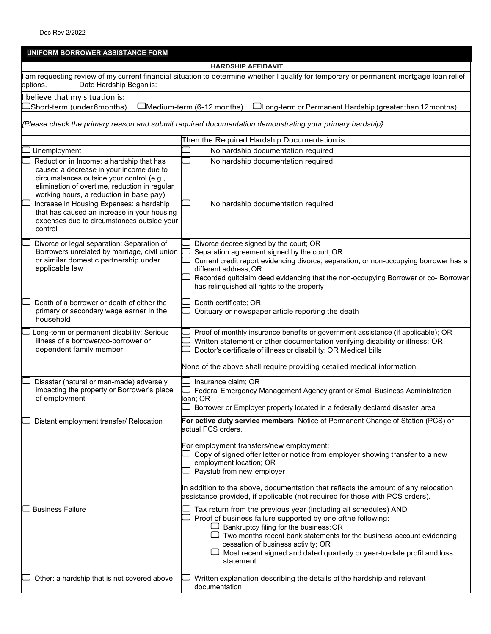| UNIFORM BORROWER ASSISTANCE FORM                                                                                                                                                                                             |                                                                                                                                                                                                                                                                                                                                                                                       |  |  |  |  |  |  |
|------------------------------------------------------------------------------------------------------------------------------------------------------------------------------------------------------------------------------|---------------------------------------------------------------------------------------------------------------------------------------------------------------------------------------------------------------------------------------------------------------------------------------------------------------------------------------------------------------------------------------|--|--|--|--|--|--|
|                                                                                                                                                                                                                              | <b>HARDSHIP AFFIDAVIT</b>                                                                                                                                                                                                                                                                                                                                                             |  |  |  |  |  |  |
| am requesting review of my current financial situation to determine whether I qualify for temporary or permanent mortgage Ioan relief<br>Date Hardship Began is:<br>options.                                                 |                                                                                                                                                                                                                                                                                                                                                                                       |  |  |  |  |  |  |
| believe that my situation is:                                                                                                                                                                                                |                                                                                                                                                                                                                                                                                                                                                                                       |  |  |  |  |  |  |
| <sup>]</sup> Short-term (under6months)                                                                                                                                                                                       | Medium-term (6-12 months)<br>–Long-term or Permanent Hardship (greater than 12 months)                                                                                                                                                                                                                                                                                                |  |  |  |  |  |  |
|                                                                                                                                                                                                                              | Please check the primary reason and submit required documentation demonstrating your primary hardship}                                                                                                                                                                                                                                                                                |  |  |  |  |  |  |
|                                                                                                                                                                                                                              | Then the Required Hardship Documentation is:                                                                                                                                                                                                                                                                                                                                          |  |  |  |  |  |  |
| Unemployment                                                                                                                                                                                                                 | No hardship documentation required                                                                                                                                                                                                                                                                                                                                                    |  |  |  |  |  |  |
| Reduction in Income: a hardship that has<br>caused a decrease in your income due to<br>circumstances outside your control (e.g.,<br>elimination of overtime, reduction in regular<br>working hours, a reduction in base pay) | No hardship documentation required                                                                                                                                                                                                                                                                                                                                                    |  |  |  |  |  |  |
| Increase in Housing Expenses: a hardship<br>that has caused an increase in your housing<br>expenses due to circumstances outside your<br>control                                                                             | No hardship documentation required                                                                                                                                                                                                                                                                                                                                                    |  |  |  |  |  |  |
| Divorce or legal separation; Separation of<br>Borrowers unrelated by marriage, civil union<br>or similar domestic partnership under<br>applicable law                                                                        | Divorce decree signed by the court; OR<br>Separation agreement signed by the court; OR<br>Current credit report evidencing divorce, separation, or non-occupying borrower has a<br>different address; OR<br>Recorded quitclaim deed evidencing that the non-occupying Borrower or co- Borrower<br>has relinquished all rights to the property                                         |  |  |  |  |  |  |
| Death of a borrower or death of either the<br>primary or secondary wage earner in the<br>household                                                                                                                           | Death certificate; OR<br>Obituary or newspaper article reporting the death                                                                                                                                                                                                                                                                                                            |  |  |  |  |  |  |
| Long-term or permanent disability; Serious<br>illness of a borrower/co-borrower or<br>dependent family member                                                                                                                | Proof of monthly insurance benefits or government assistance (if applicable); OR<br>Written statement or other documentation verifying disability or illness; OR<br>Doctor's certificate of illness or disability; OR Medical bills                                                                                                                                                   |  |  |  |  |  |  |
|                                                                                                                                                                                                                              | None of the above shall require providing detailed medical information.                                                                                                                                                                                                                                                                                                               |  |  |  |  |  |  |
| Disaster (natural or man-made) adversely<br>impacting the property or Borrower's place<br>of employment                                                                                                                      | Insurance claim; OR<br>Federal Emergency Management Agency grant or Small Business Administration<br>loan; OR<br>Borrower or Employer property located in a federally declared disaster area                                                                                                                                                                                          |  |  |  |  |  |  |
| Distant employment transfer/ Relocation                                                                                                                                                                                      | For active duty service members: Notice of Permanent Change of Station (PCS) or<br>actual PCS orders.                                                                                                                                                                                                                                                                                 |  |  |  |  |  |  |
|                                                                                                                                                                                                                              | For employment transfers/new employment:<br>Copy of signed offer letter or notice from employer showing transfer to a new<br>employment location; OR<br>Paystub from new employer                                                                                                                                                                                                     |  |  |  |  |  |  |
|                                                                                                                                                                                                                              | In addition to the above, documentation that reflects the amount of any relocation<br>assistance provided, if applicable (not required for those with PCS orders).                                                                                                                                                                                                                    |  |  |  |  |  |  |
| <b>Business Failure</b>                                                                                                                                                                                                      | Tax return from the previous year (including all schedules) AND<br>Proof of business failure supported by one ofthe following:<br>Bankruptcy filing for the business; OR<br>$\Box$ Two months recent bank statements for the business account evidencing<br>cessation of business activity; OR<br>Most recent signed and dated quarterly or year-to-date profit and loss<br>statement |  |  |  |  |  |  |
| Other: a hardship that is not covered above                                                                                                                                                                                  | Written explanation describing the details of the hardship and relevant<br>documentation                                                                                                                                                                                                                                                                                              |  |  |  |  |  |  |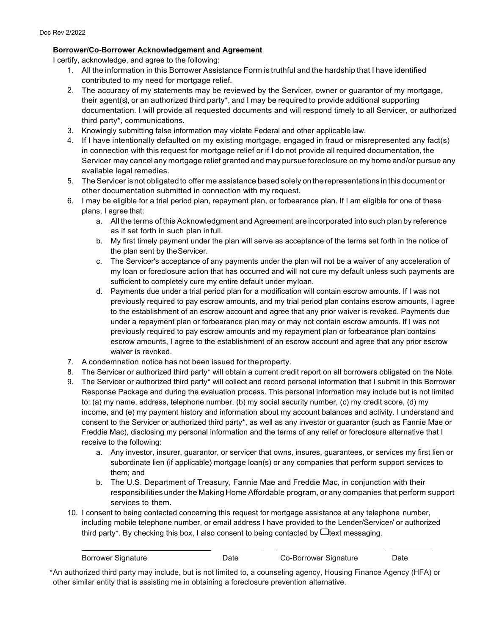#### **Borrower/Co-Borrower Acknowledgement and Agreement**

I certify, acknowledge, and agree to the following:

- 1. All the information in this Borrower Assistance Form is truthful and the hardship that I have identified contributed to my need for mortgage relief.
- 2. The accuracy of my statements may be reviewed by the Servicer, owner or guarantor of my mortgage, their agent(s), or an authorized third party\*, and I may be required to provide additional supporting documentation. I will provide all requested documents and will respond timely to all Servicer, or authorized third party\*, communications.
- 3. Knowingly submitting false information may violate Federal and other applicable law.
- 4. If I have intentionally defaulted on my existing mortgage, engaged in fraud or misrepresented any fact(s) in connection with this request for mortgage relief or if I do not provide all required documentation, the Servicer may cancel any mortgage relief granted and may pursue foreclosure on my home and/or pursue any available legal remedies.
- 5. TheServicer is not obligated to offer me assistance based solely on therepresentations in this document or other documentation submitted in connection with my request.
- 6. I may be eligible for a trial period plan, repayment plan, or forbearance plan. If I am eligible for one of these plans, I agree that:
	- a. All the terms of this Acknowledgment and Agreement are incorporated into such plan by reference as if set forth in such plan infull.
	- b. My first timely payment under the plan will serve as acceptance of the terms set forth in the notice of the plan sent by theServicer.
	- c. The Servicer's acceptance of any payments under the plan will not be a waiver of any acceleration of my loan or foreclosure action that has occurred and will not cure my default unless such payments are sufficient to completely cure my entire default under myloan.
	- d. Payments due under a trial period plan for a modification will contain escrow amounts. If I was not previously required to pay escrow amounts, and my trial period plan contains escrow amounts, I agree to the establishment of an escrow account and agree that any prior waiver is revoked. Payments due under a repayment plan or forbearance plan may or may not contain escrow amounts. If I was not previously required to pay escrow amounts and my repayment plan or forbearance plan contains escrow amounts, I agree to the establishment of an escrow account and agree that any prior escrow waiver is revoked.
- 7. A condemnation notice has not been issued for theproperty.
- 8. The Servicer or authorized third party\* will obtain a current credit report on all borrowers obligated on the Note.
- 9. The Servicer or authorized third party\* will collect and record personal information that I submit in this Borrower Response Package and during the evaluation process. This personal information may include but is not limited to: (a) my name, address, telephone number, (b) my social security number, (c) my credit score, (d) my income, and (e) my payment history and information about my account balances and activity. I understand and consent to the Servicer or authorized third party\*, as well as any investor or guarantor (such as Fannie Mae or Freddie Mac), disclosing my personal information and the terms of any relief or foreclosure alternative that I receive to the following:
	- a. Any investor, insurer, guarantor, or servicer that owns, insures, guarantees, or services my first lien or subordinate lien (if applicable) mortgage loan(s) or any companies that perform support services to them; and
	- b. The U.S. Department of Treasury, Fannie Mae and Freddie Mac, in conjunction with their responsibilitiesunder the Making Home Affordable program, or any companies that perform support services to them.
- 10. I consent to being contacted concerning this request for mortgage assistance at any telephone number, including mobile telephone number, or email address I have provided to the Lender/Servicer/ or authorized third party\*. By checking this box, I also consent to being contacted by  $\Box$  text messaging.

| Borrower Sianature | Date | Co-Borrower Signature | Date |  |
|--------------------|------|-----------------------|------|--|
|                    |      |                       |      |  |

\*An authorized third party may include, but is not limited to, a counseling agency, Housing Finance Agency (HFA) or other similar entity that is assisting me in obtaining a foreclosure prevention alternative.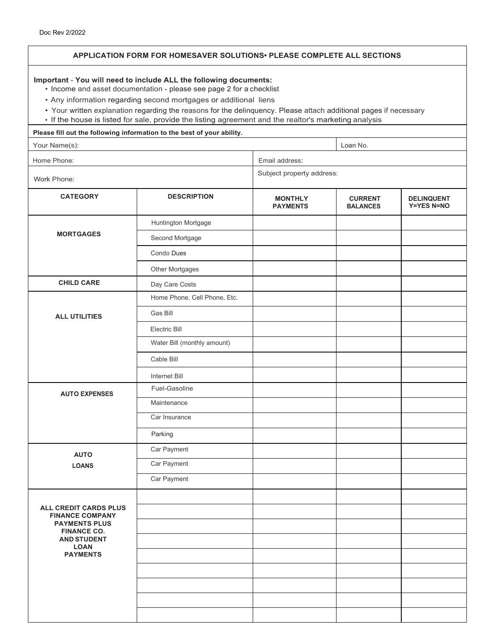| Doc Rev 2/2022                                                                                                                                                                                                                                                                                                                                                                                                                              |                                                                              |                                   |                                   |                                        |  |  |
|---------------------------------------------------------------------------------------------------------------------------------------------------------------------------------------------------------------------------------------------------------------------------------------------------------------------------------------------------------------------------------------------------------------------------------------------|------------------------------------------------------------------------------|-----------------------------------|-----------------------------------|----------------------------------------|--|--|
|                                                                                                                                                                                                                                                                                                                                                                                                                                             | <b>APPLICATION FORM FOR HOMESAVER SOLUTIONS PLEASE COMPLETE ALL SECTIONS</b> |                                   |                                   |                                        |  |  |
| Important - You will need to include ALL the following documents:<br>• Income and asset documentation - please see page 2 for a checklist<br>• Any information regarding second mortgages or additional liens<br>• Your written explanation regarding the reasons for the delinquency. Please attach additional pages if necessary<br>• If the house is listed for sale, provide the listing agreement and the realtor's marketing analysis |                                                                              |                                   |                                   |                                        |  |  |
|                                                                                                                                                                                                                                                                                                                                                                                                                                             | Please fill out the following information to the best of your ability.       |                                   |                                   |                                        |  |  |
| Your Name(s):                                                                                                                                                                                                                                                                                                                                                                                                                               |                                                                              |                                   | Loan No.                          |                                        |  |  |
| Home Phone:                                                                                                                                                                                                                                                                                                                                                                                                                                 |                                                                              | Email address:                    |                                   |                                        |  |  |
| Work Phone:                                                                                                                                                                                                                                                                                                                                                                                                                                 |                                                                              | Subject property address:         |                                   |                                        |  |  |
| <b>CATEGORY</b>                                                                                                                                                                                                                                                                                                                                                                                                                             | <b>DESCRIPTION</b>                                                           | <b>MONTHLY</b><br><b>PAYMENTS</b> | <b>CURRENT</b><br><b>BALANCES</b> | <b>DELINQUENT</b><br><b>Y=YES N=NO</b> |  |  |
|                                                                                                                                                                                                                                                                                                                                                                                                                                             | Huntington Mortgage                                                          |                                   |                                   |                                        |  |  |
| <b>MORTGAGES</b>                                                                                                                                                                                                                                                                                                                                                                                                                            | Second Mortgage                                                              |                                   |                                   |                                        |  |  |
|                                                                                                                                                                                                                                                                                                                                                                                                                                             | Condo Dues                                                                   |                                   |                                   |                                        |  |  |
|                                                                                                                                                                                                                                                                                                                                                                                                                                             | <b>Other Mortgages</b>                                                       |                                   |                                   |                                        |  |  |
| <b>CHILD CARE</b>                                                                                                                                                                                                                                                                                                                                                                                                                           | Day Care Costs                                                               |                                   |                                   |                                        |  |  |
|                                                                                                                                                                                                                                                                                                                                                                                                                                             | Home Phone, Cell Phone, Etc.                                                 |                                   |                                   |                                        |  |  |
| <b>ALL UTILITIES</b>                                                                                                                                                                                                                                                                                                                                                                                                                        | Gas Bill                                                                     |                                   |                                   |                                        |  |  |
|                                                                                                                                                                                                                                                                                                                                                                                                                                             | Electric Bill                                                                |                                   |                                   |                                        |  |  |
|                                                                                                                                                                                                                                                                                                                                                                                                                                             | Water Bill (monthly amount)                                                  |                                   |                                   |                                        |  |  |

|                                                 | Electric Bill               |  |  |
|-------------------------------------------------|-----------------------------|--|--|
|                                                 | Water Bill (monthly amount) |  |  |
|                                                 | Cable Bill                  |  |  |
|                                                 | Internet Bill               |  |  |
| <b>AUTO EXPENSES</b>                            | Fuel-Gasoline               |  |  |
|                                                 | Maintenance                 |  |  |
|                                                 | Car Insurance               |  |  |
|                                                 | Parking                     |  |  |
| <b>AUTO</b>                                     | Car Payment                 |  |  |
| <b>LOANS</b>                                    | Car Payment                 |  |  |
|                                                 | Car Payment                 |  |  |
|                                                 |                             |  |  |
| ALL CREDIT CARDS PLUS<br><b>FINANCE COMPANY</b> |                             |  |  |
| <b>PAYMENTS PLUS</b><br><b>FINANCE CO.</b>      |                             |  |  |
| <b>AND STUDENT</b><br><b>LOAN</b>               |                             |  |  |
| <b>PAYMENTS</b>                                 |                             |  |  |
|                                                 |                             |  |  |
|                                                 |                             |  |  |
|                                                 |                             |  |  |
|                                                 |                             |  |  |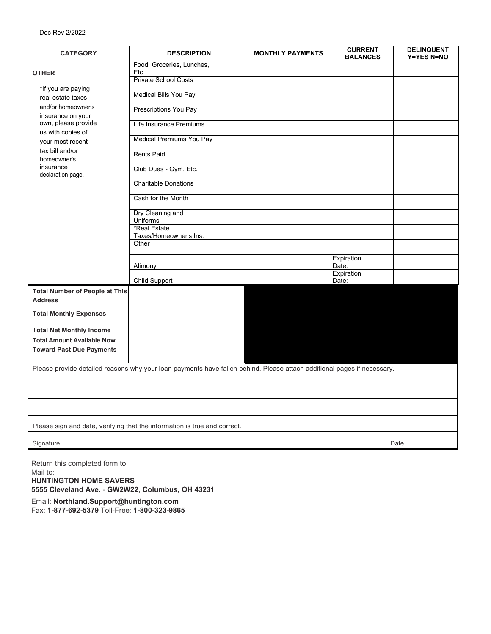| <b>CATEGORY</b>                                                                                                         | <b>DESCRIPTION</b>                     | <b>MONTHLY PAYMENTS</b> | <b>CURRENT</b><br><b>BALANCES</b> | <b>DELINQUENT</b><br><b>Y=YES N=NO</b> |  |  |
|-------------------------------------------------------------------------------------------------------------------------|----------------------------------------|-------------------------|-----------------------------------|----------------------------------------|--|--|
| <b>OTHER</b>                                                                                                            | Food, Groceries, Lunches,<br>Etc.      |                         |                                   |                                        |  |  |
| *If you are paying                                                                                                      | <b>Private School Costs</b>            |                         |                                   |                                        |  |  |
| real estate taxes                                                                                                       | Medical Bills You Pay                  |                         |                                   |                                        |  |  |
| and/or homeowner's<br>insurance on your                                                                                 | Prescriptions You Pay                  |                         |                                   |                                        |  |  |
| own, please provide<br>us with copies of                                                                                | Life Insurance Premiums                |                         |                                   |                                        |  |  |
| your most recent                                                                                                        | <b>Medical Premiums You Pay</b>        |                         |                                   |                                        |  |  |
| tax bill and/or<br>homeowner's                                                                                          | <b>Rents Paid</b>                      |                         |                                   |                                        |  |  |
| insurance<br>declaration page.                                                                                          | Club Dues - Gym, Etc.                  |                         |                                   |                                        |  |  |
|                                                                                                                         | <b>Charitable Donations</b>            |                         |                                   |                                        |  |  |
|                                                                                                                         | Cash for the Month                     |                         |                                   |                                        |  |  |
|                                                                                                                         | Dry Cleaning and<br><b>Uniforms</b>    |                         |                                   |                                        |  |  |
|                                                                                                                         | *Real Estate<br>Taxes/Homeowner's Ins. |                         |                                   |                                        |  |  |
|                                                                                                                         | Other                                  |                         |                                   |                                        |  |  |
|                                                                                                                         | Alimony                                |                         | Expiration<br>Date:               |                                        |  |  |
|                                                                                                                         | <b>Child Support</b>                   |                         | Expiration<br>Date:               |                                        |  |  |
| <b>Total Number of People at This</b><br><b>Address</b>                                                                 |                                        |                         |                                   |                                        |  |  |
| <b>Total Monthly Expenses</b>                                                                                           |                                        |                         |                                   |                                        |  |  |
| <b>Total Net Monthly Income</b>                                                                                         |                                        |                         |                                   |                                        |  |  |
| <b>Total Amount Available Now</b>                                                                                       |                                        |                         |                                   |                                        |  |  |
| <b>Toward Past Due Payments</b>                                                                                         |                                        |                         |                                   |                                        |  |  |
| Please provide detailed reasons why your loan payments have fallen behind. Please attach additional pages if necessary. |                                        |                         |                                   |                                        |  |  |
|                                                                                                                         |                                        |                         |                                   |                                        |  |  |
|                                                                                                                         |                                        |                         |                                   |                                        |  |  |
|                                                                                                                         |                                        |                         |                                   |                                        |  |  |
| Please sign and date, verifying that the information is true and correct.                                               |                                        |                         |                                   |                                        |  |  |
| Signature                                                                                                               |                                        |                         |                                   | Date                                   |  |  |

Return this completed form to: Mail to: **HUNTINGTON HOME SAVERS 5555 Cleveland Ave.** - **GW2W22, Columbus, OH 43231**

Email: **[Northland.Support@huntington.com](mailto:homesavers@huntington.com)** Fax: **1-877-692-5379** Toll-Free: **1-800-323-9865**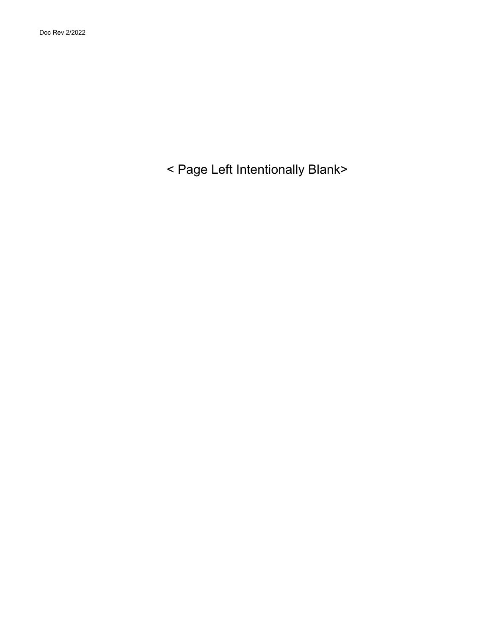< Page Left Intentionally Blank>